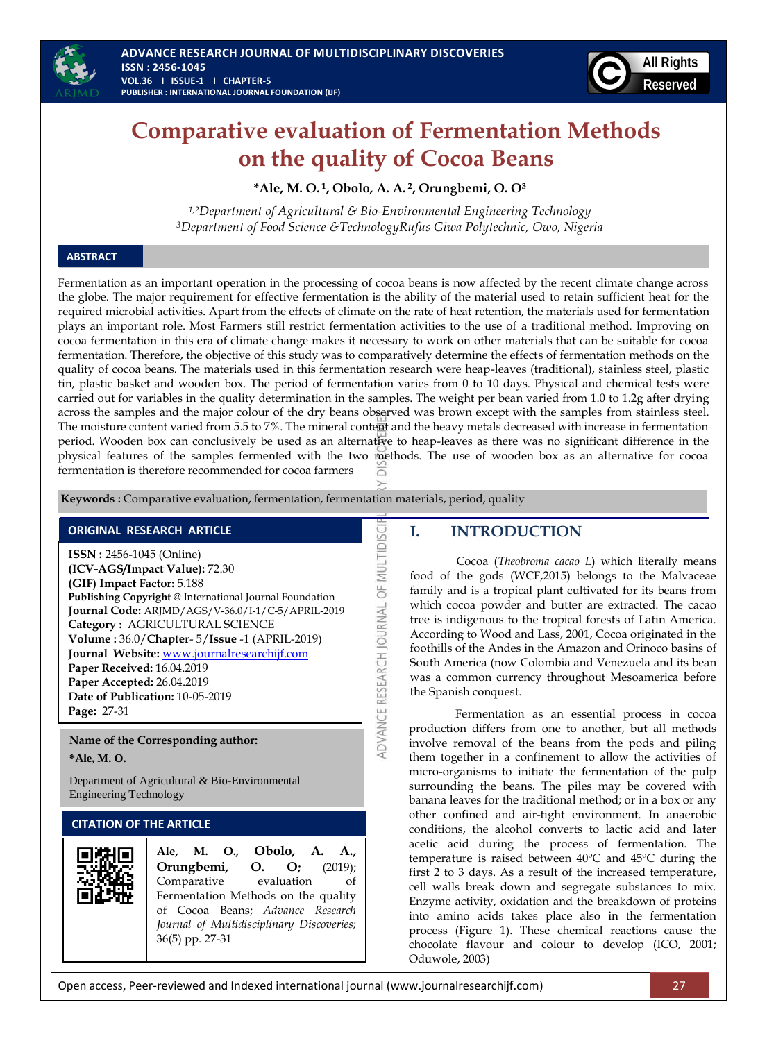



# **Comparative evaluation of Fermentation Methods on the quality of Cocoa Beans**

**\*Ale, M. O. <sup>1</sup> , Obolo, A. A. <sup>2</sup> , Orungbemi, O. O<sup>3</sup>**

*1,2Department of Agricultural & Bio-Environmental Engineering Technology <sup>3</sup>Department of Food Science &TechnologyRufus Giwa Polytechnic, Owo, Nigeria*

# **ABSTRACT**

Fermentation as an important operation in the processing of cocoa beans is now affected by the recent climate change across the globe. The major requirement for effective fermentation is the ability of the material used to retain sufficient heat for the required microbial activities. Apart from the effects of climate on the rate of heat retention, the materials used for fermentation plays an important role. Most Farmers still restrict fermentation activities to the use of a traditional method. Improving on cocoa fermentation in this era of climate change makes it necessary to work on other materials that can be suitable for cocoa fermentation. Therefore, the objective of this study was to comparatively determine the effects of fermentation methods on the quality of cocoa beans. The materials used in this fermentation research were heap-leaves (traditional), stainless steel, plastic tin, plastic basket and wooden box. The period of fermentation varies from 0 to 10 days. Physical and chemical tests were carried out for variables in the quality determination in the samples. The weight per bean varied from 1.0 to 1.2g after drying across the samples and the major colour of the dry beans observed was brown except with the samples from stainless steel. The moisture content varied from 5.5 to 7%. The mineral content and the heavy metals decreased with increase in fermentation period. Wooden box can conclusively be used as an alternative to heap-leaves as there was no significant difference in the physical features of the samples fermented with the two methods. The use of wooden box as an alternative for cocoa fermentation is therefore recommended for cocoa farmers

ADVANCE RESEARCH JOURNAL OF MULTIDISCI

**Keywords :** Comparative evaluation, fermentation, fermentation materials, period, quality

# **ORIGINAL RESEARCH ARTICLE**

**ISSN :** 2456-1045 (Online) **(ICV-AGS/Impact Value):** 72.30 **(GIF) Impact Factor:** 5.188 **Publishing Copyright @** International Journal Foundation **Journal Code:** ARJMD/AGS/V-36.0/I-1/C-5/APRIL-2019 **Category :** AGRICULTURAL SCIENCE **Volume :** 36.0/**Chapter**- 5/**Issue** -1 (APRIL-2019) **Journal Website:** [www.journalresearchijf.com](http://www.journalresearchijf.com/) **Paper Received:** 16.04.2019 **Paper Accepted:** 26.04.2019 **Date of Publication:** 10-05-2019 **Page:** 27-31

**Name of the Corresponding author: \*Ale, M. O.**

Department of Agricultural & Bio-Environmental Engineering Technology

# **CITATION OF THE ARTICLE**



# **I. INTRODUCTION**

Cocoa (*Theobroma cacao L*) which literally means food of the gods (WCF,2015) belongs to the Malvaceae family and is a tropical plant cultivated for its beans from which cocoa powder and butter are extracted. The cacao tree is indigenous to the tropical forests of Latin America. According to Wood and Lass, 2001, Cocoa originated in the foothills of the [Andes](https://en.wikipedia.org/wiki/Andes) in th[e Amazon](https://en.wikipedia.org/wiki/Amazon_River) and [Orinoco](https://en.wikipedia.org/wiki/Orinoco) basins of [South America](https://en.wikipedia.org/wiki/South_America) (now Colombia and [Venezuela](https://en.wikipedia.org/wiki/Venezuela) and its bean was a common currency throughout Mesoamerica before the Spanish conquest.

Fermentation as an essential process in cocoa production differs from one to another, but all methods involve removal of the beans from the pods and piling them together in a confinement to allow the activities of micro-organisms to initiate the fermentation of the pulp surrounding the beans. The piles may be covered with banana leaves for the traditional method; or in a box or any other confined and air-tight environment. In anaerobic conditions, the alcohol converts to lactic acid and later acetic acid during the process of fermentation. The temperature is raised between 40ºC and 45ºC during the first 2 to 3 days. As a result of the increased temperature, cell walls break down and segregate substances to mix. Enzyme activity, oxidation and the breakdown of proteins into amino acids takes place also in the fermentation process (Figure 1). These chemical reactions cause the chocolate flavour and colour to develop (ICO, 2001; Oduwole, 2003)

Open access, Peer-reviewed and Indexed international journal (www.journalresearchijf.com) 27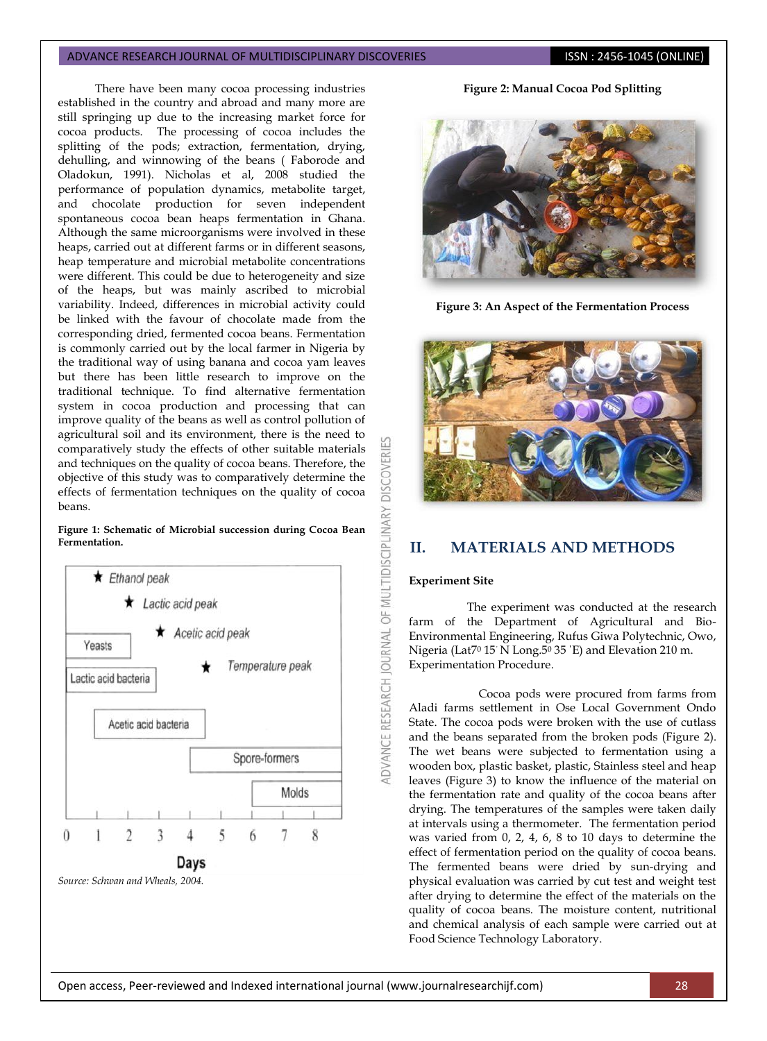### ADVANCE RESEARCH JOURNAL OF MULTIDISCIPLINARY DISCOVERIES **ISSN : 2456-1045 (ONLINE)**

There have been many cocoa processing industries established in the country and abroad and many more are still springing up due to the increasing market force for cocoa products. The processing of cocoa includes the splitting of the pods; extraction, fermentation, drying, dehulling, and winnowing of the beans ( Faborode and Oladokun, 1991). Nicholas et al, 2008 studied the performance of population dynamics, metabolite target, and chocolate production for seven independent spontaneous cocoa bean heaps fermentation in Ghana. Although the same microorganisms were involved in these heaps, carried out at different farms or in different seasons, heap temperature and microbial metabolite concentrations were different. This could be due to heterogeneity and size of the heaps, but was mainly ascribed to microbial variability. Indeed, differences in microbial activity could be linked with the favour of chocolate made from the corresponding dried, fermented cocoa beans. Fermentation is commonly carried out by the local farmer in Nigeria by the traditional way of using banana and cocoa yam leaves but there has been little research to improve on the traditional technique. To find alternative fermentation system in cocoa production and processing that can improve quality of the beans as well as control pollution of agricultural soil and its environment, there is the need to comparatively study the effects of other suitable materials and techniques on the quality of cocoa beans. Therefore, the objective of this study was to comparatively determine the effects of fermentation techniques on the quality of cocoa beans.

OF MULTIDISCIPLINARY

DVANCE RESEARCH JOURNAL





*Source: Schwan and Wheals, 2004.*

**Figure 2: Manual Cocoa Pod Splitting**



**Figure 3: An Aspect of the Fermentation Process**



# **II. MATERIALS AND METHODS**

#### **Experiment Site**

The experiment was conducted at the research farm of the Department of Agricultural and Bio-Environmental Engineering, Rufus Giwa Polytechnic, Owo, Nigeria (Lat7<sup>0</sup> 15΄ N Long.5<sup>0</sup> 35 ΄E) and Elevation 210 m. Experimentation Procedure.

Cocoa pods were procured from farms from Aladi farms settlement in Ose Local Government Ondo State. The cocoa pods were broken with the use of cutlass and the beans separated from the broken pods (Figure 2). The wet beans were subjected to fermentation using a wooden box, plastic basket, plastic, Stainless steel and heap leaves (Figure 3) to know the influence of the material on the fermentation rate and quality of the cocoa beans after drying. The temperatures of the samples were taken daily at intervals using a thermometer. The fermentation period was varied from 0, 2, 4, 6, 8 to 10 days to determine the effect of fermentation period on the quality of cocoa beans. The fermented beans were dried by sun-drying and physical evaluation was carried by cut test and weight test after drying to determine the effect of the materials on the quality of cocoa beans. The moisture content, nutritional and chemical analysis of each sample were carried out at Food Science Technology Laboratory.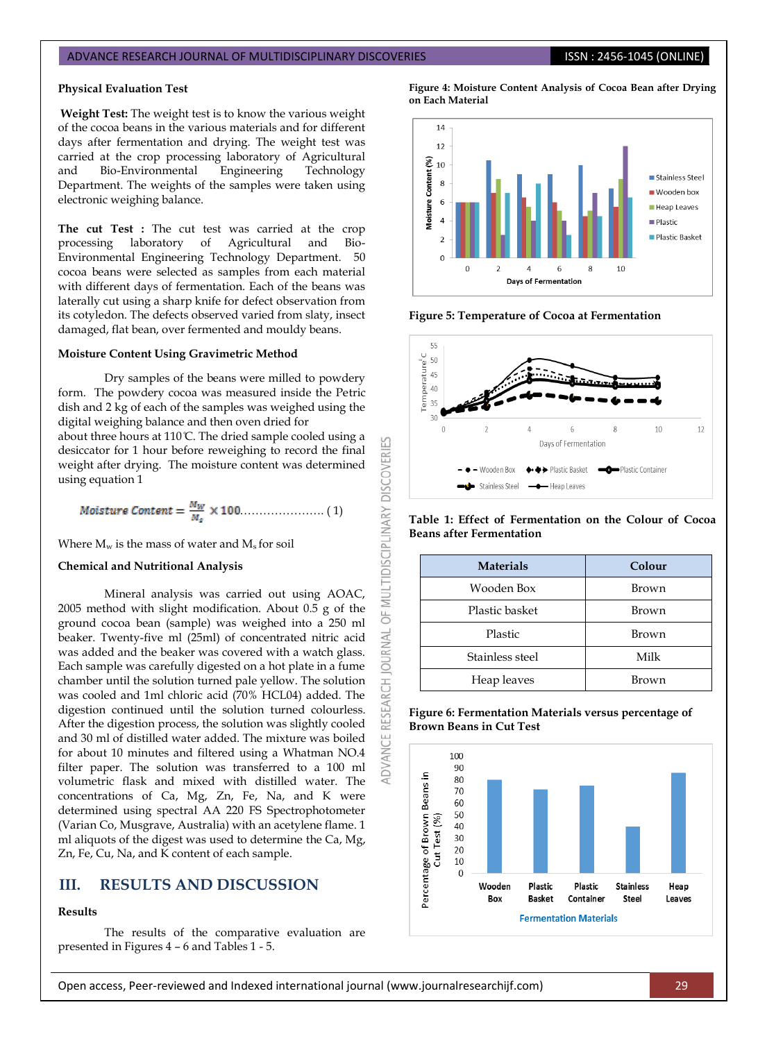#### ADVANCE RESEARCH JOURNAL OF MULTIDISCIPLINARY DISCOVERIES **ISSN : 2456-1045 (ONLINE)**

#### **Physical Evaluation Test**

**Weight Test:** The weight test is to know the various weight of the cocoa beans in the various materials and for different days after fermentation and drying. The weight test was carried at the crop processing laboratory of Agricultural and Bio-Environmental Engineering Technology Department. The weights of the samples were taken using electronic weighing balance.

**The cut Test :** The cut test was carried at the crop processing laboratory of Agricultural and Bio-Environmental Engineering Technology Department. 50 cocoa beans were selected as samples from each material with different days of fermentation. Each of the beans was laterally cut using a sharp knife for defect observation from its cotyledon. The defects observed varied from slaty, insect damaged, flat bean, over fermented and mouldy beans.

#### **Moisture Content Using Gravimetric Method**

Dry samples of the beans were milled to powdery form. The powdery cocoa was measured inside the Petric dish and 2 kg of each of the samples was weighed using the digital weighing balance and then oven dried for about three hours at 110 C. The dried sample cooled using a desiccator for 1 hour before reweighing to record the final weight after drying. The moisture content was determined using equation 1

$$
Moisture Content = \frac{M_W}{M_s} \times 100.................(1)
$$

Where  $M_w$  is the mass of water and  $M_s$  for soil

#### **Chemical and Nutritional Analysis**

Mineral analysis was carried out using AOAC, 2005 method with slight modification. About 0.5 g of the ground cocoa bean (sample) was weighed into a 250 ml beaker. Twenty-five ml (25ml) of concentrated nitric acid was added and the beaker was covered with a watch glass. Each sample was carefully digested on a hot plate in a fume chamber until the solution turned pale yellow. The solution was cooled and 1ml chloric acid (70% HCL04) added. The digestion continued until the solution turned colourless. After the digestion process, the solution was slightly cooled and 30 ml of distilled water added. The mixture was boiled for about 10 minutes and filtered using a Whatman NO.4 filter paper. The solution was transferred to a 100 ml volumetric flask and mixed with distilled water. The concentrations of Ca, Mg, Zn, Fe, Na, and K were determined using spectral AA 220 FS Spectrophotometer (Varian Co, Musgrave, Australia) with an acetylene flame. 1 ml aliquots of the digest was used to determine the Ca, Mg, Zn, Fe, Cu, Na, and K content of each sample.

# **III. RESULTS AND DISCUSSION**

# **Results**

The results of the comparative evaluation are presented in Figures 4 – 6 and Tables 1 - 5.

**Figure 4: Moisture Content Analysis of Cocoa Bean after Drying on Each Material**



**Figure 5: Temperature of Cocoa at Fermentation**



**Table 1: Effect of Fermentation on the Colour of Cocoa Beans after Fermentation**

| <b>Materials</b> | Colour |  |
|------------------|--------|--|
| Wooden Box       | Brown  |  |
| Plastic basket   | Brown  |  |
| Plastic          | Brown  |  |
| Stainless steel  | Milk   |  |
| Heap leaves      | Brown  |  |





0F

**OURNAL** 

**RESEARCH** 

ADVANCE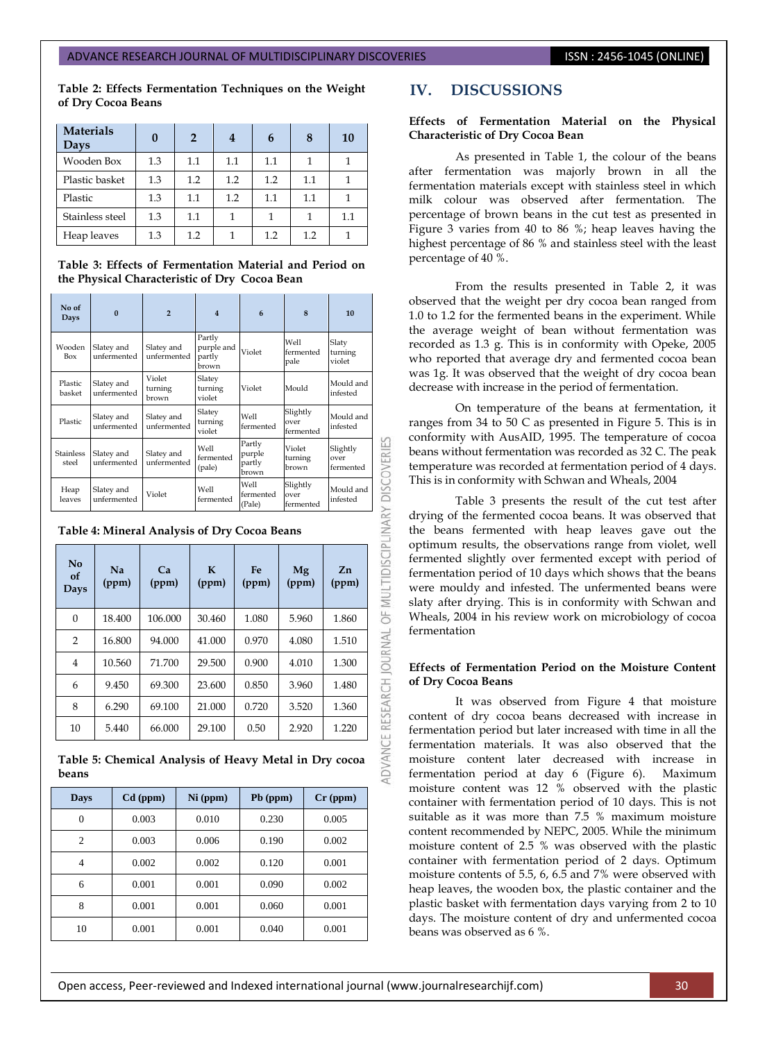#### ADVANCE RESEARCH JOURNAL OF MULTIDISCIPLINARY DISCOVERIES **ISSN : 2456-1045 (ONLINE)**

**Table 2: Effects Fermentation Techniques on the Weight of Dry Cocoa Beans** 

| <b>Materials</b><br>Days |     | $\overline{2}$ | 4   | 6   | 8   | 10  |
|--------------------------|-----|----------------|-----|-----|-----|-----|
| Wooden Box               | 1.3 | $1.1\,$        | 1.1 | 1.1 |     |     |
| Plastic basket           | 1.3 | 1.2            | 1.2 | 1.2 | 1.1 |     |
| Plastic                  | 1.3 | $1.1\,$        | 1.2 | 1.1 | 1.1 |     |
| Stainless steel          | 1.3 | 1.1            |     |     |     | 1.1 |
| Heap leaves              | 1.3 | 1.2            |     | 1.2 | 1.2 |     |

**Table 3: Effects of Fermentation Material and Period on the Physical Characteristic of Dry Cocoa Bean**

| No of<br>Days             | $\mathbf{0}$                                 | $\overline{2}$             | 4                                              | 6                                   | 8                             | 10                            |
|---------------------------|----------------------------------------------|----------------------------|------------------------------------------------|-------------------------------------|-------------------------------|-------------------------------|
| Wooden<br>Box             | Slatey and<br>unfermented                    | Slatey and<br>unfermented  | Partly<br>purple and<br>partly<br>brown        | Violet                              | Well<br>fermented<br>pale     | Slaty<br>turning<br>violet    |
| Plastic<br>basket         | Slatev and<br>unfermented                    | Violet<br>turning<br>brown | Slatev<br>Violet<br>Mould<br>turning<br>violet |                                     | Mould and<br>infested         |                               |
| Plastic                   | Slatey and<br>unfermented                    | Slatey and<br>unfermented  | Slatey<br>turning<br>violet                    | Well<br>fermented                   | Slightly<br>over<br>fermented | Mould and<br>infested         |
| <b>Stainless</b><br>steel | Slatey and<br>unfermented                    | Slatey and<br>unfermented  | Well<br>fermented<br>(pale)                    | Partly<br>purple<br>partly<br>brown | Violet<br>turning<br>brown    | Slightly<br>over<br>fermented |
|                           | Slatey and                                   | Violet                     | Well                                           | Well<br>fermented                   | Slightly<br>over              | Mould and<br>infested         |
| Heap<br>leaves            | unfermented                                  |                            | fermented                                      | (Pale)                              | fermented                     |                               |
|                           | Table 4: Mineral Analysis of Dry Cocoa Beans |                            |                                                |                                     |                               |                               |
| No<br>of<br>Days          | <b>Na</b><br>(ppm)                           | Ca<br>(ppm)                | $\mathbf K$<br>(ppm)                           | Fe<br>(ppm)                         | Mg<br>(ppm)                   | Zn<br>(ppm)                   |
| $\Omega$                  | 18.400                                       | 106.000                    | 30.460                                         | 1.080                               | 5.960                         | 1.860                         |
| $\overline{2}$            | 16.800                                       | 94.000                     | 41.000                                         | 0.970                               | 4.080                         | 1.510                         |
| 4                         | 10.560                                       | 71.700                     | 29.500                                         | 0.900                               | 4.010                         | 1.300                         |
| 6                         | 9.450                                        | 69.300                     | 23.600                                         | 0.850                               | 3.960                         | 1.480                         |
| 8                         | 6.290                                        | 69.100                     | 21.000                                         | 0.720                               | 3.520                         | 1.360                         |

| No<br>of<br>Days | <b>Na</b><br>(ppm) | Ca<br>(ppm) | K<br>(ppm) | Fe<br>(ppm) | Mg<br>(ppm) | Zn<br>(ppm) |
|------------------|--------------------|-------------|------------|-------------|-------------|-------------|
| $\Omega$         | 18.400             | 106.000     | 30.460     | 1.080       | 5.960       | 1.860       |
| $\overline{2}$   | 16.800             | 94.000      | 41.000     | 0.970       | 4.080       | 1.510       |
| $\overline{4}$   | 10.560             | 71.700      | 29.500     | 0.900       | 4.010       | 1.300       |
| 6                | 9.450              | 69.300      | 23.600     | 0.850       | 3.960       | 1.480       |
| 8                | 6.290              | 69.100      | 21.000     | 0.720       | 3.520       | 1.360       |
| 10               | 5.440              | 66.000      | 29.100     | 0.50        | 2.920       | 1.220       |

**Table 5: Chemical Analysis of Heavy Metal in Dry cocoa beans**

| Days           | $Cd$ (ppm) | $Ni$ (ppm) | Pb (ppm) | $Cr$ (ppm) |
|----------------|------------|------------|----------|------------|
| 0              | 0.003      | 0.010      | 0.230    | 0.005      |
| $\overline{c}$ | 0.003      | 0.006      | 0.190    | 0.002      |
| 4              | 0.002      | 0.002      | 0.120    | 0.001      |
| 6              | 0.001      | 0.001      | 0.090    | 0.002      |
| 8              | 0.001      | 0.001      | 0.060    | 0.001      |
| 10             | 0.001      | 0.001      | 0.040    | 0.001      |

# **IV. DISCUSSIONS**

#### **Effects of Fermentation Material on the Physical Characteristic of Dry Cocoa Bean**

As presented in Table 1, the colour of the beans after fermentation was majorly brown in all the fermentation materials except with stainless steel in which milk colour was observed after fermentation. The percentage of brown beans in the cut test as presented in Figure 3 varies from 40 to 86 %; heap leaves having the highest percentage of 86 % and stainless steel with the least percentage of 40 %.

From the results presented in Table 2, it was observed that the weight per dry cocoa bean ranged from 1.0 to 1.2 for the fermented beans in the experiment. While the average weight of bean without fermentation was recorded as 1.3 g. This is in conformity with Opeke, 2005 who reported that average dry and fermented cocoa bean was 1g. It was observed that the weight of dry cocoa bean decrease with increase in the period of fermentation.

On temperature of the beans at fermentation, it ranges from 34 to 50 C as presented in Figure 5. This is in conformity with AusAID, 1995. The temperature of cocoa beans without fermentation was recorded as 32 C. The peak temperature was recorded at fermentation period of 4 days. This is in conformity with Schwan and Wheals, 2004

Table 3 presents the result of the cut test after drying of the fermented cocoa beans. It was observed that the beans fermented with heap leaves gave out the optimum results, the observations range from violet, well fermented slightly over fermented except with period of fermentation period of 10 days which shows that the beans were mouldy and infested. The unfermented beans were slaty after drying. This is in conformity with Schwan and Wheals, 2004 in his review work on microbiology of cocoa fermentation

#### **Effects of Fermentation Period on the Moisture Content of Dry Cocoa Beans**

It was observed from Figure 4 that moisture content of dry cocoa beans decreased with increase in fermentation period but later increased with time in all the fermentation materials. It was also observed that the moisture content later decreased with increase in fermentation period at day 6 (Figure 6). Maximum moisture content was 12 % observed with the plastic container with fermentation period of 10 days. This is not suitable as it was more than 7.5 % maximum moisture content recommended by NEPC, 2005. While the minimum moisture content of 2.5 % was observed with the plastic container with fermentation period of 2 days. Optimum moisture contents of 5.5, 6, 6.5 and 7% were observed with heap leaves, the wooden box, the plastic container and the plastic basket with fermentation days varying from 2 to 10 days. The moisture content of dry and unfermented cocoa beans was observed as 6 %.